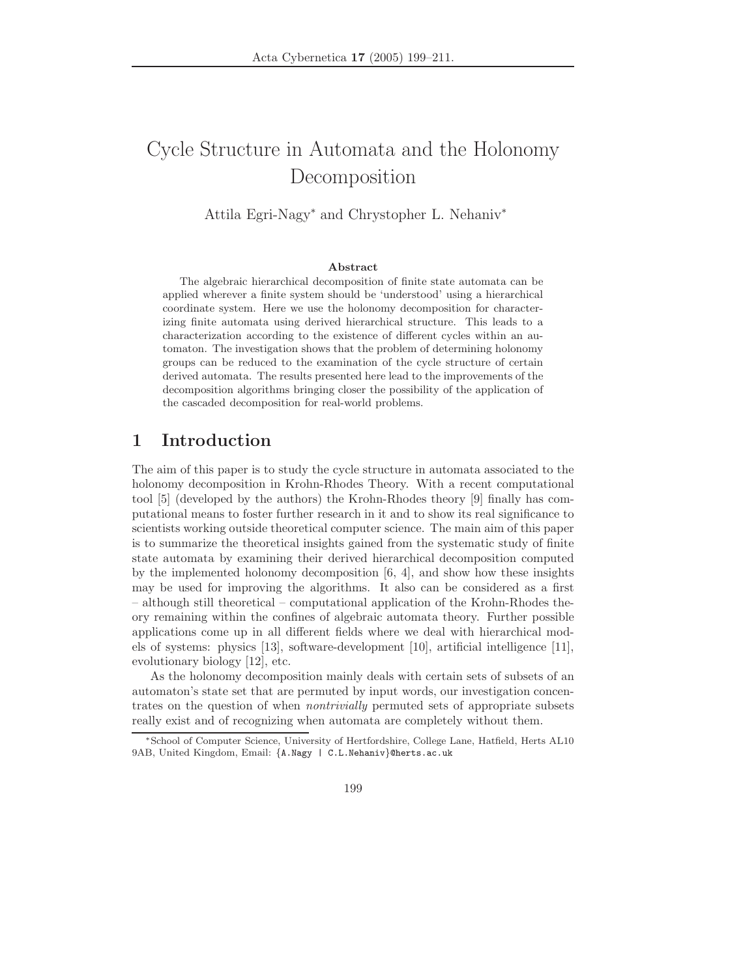# Cycle Structure in Automata and the Holonomy Decomposition

Attila Egri-Nagy<sup>∗</sup> and Chrystopher L. Nehaniv<sup>∗</sup>

#### **Abstract**

The algebraic hierarchical decomposition of finite state automata can be applied wherever a finite system should be 'understood' using a hierarchical coordinate system. Here we use the holonomy decomposition for characterizing finite automata using derived hierarchical structure. This leads to a characterization according to the existence of different cycles within an automaton. The investigation shows that the problem of determining holonomy groups can be reduced to the examination of the cycle structure of certain derived automata. The results presented here lead to the improvements of the decomposition algorithms bringing closer the possibility of the application of the cascaded decomposition for real-world problems.

## **1 Introduction**

The aim of this paper is to study the cycle structure in automata associated to the holonomy decomposition in Krohn-Rhodes Theory. With a recent computational tool [5] (developed by the authors) the Krohn-Rhodes theory [9] finally has computational means to foster further research in it and to show its real significance to scientists working outside theoretical computer science. The main aim of this paper is to summarize the theoretical insights gained from the systematic study of finite state automata by examining their derived hierarchical decomposition computed by the implemented holonomy decomposition  $[6, 4]$ , and show how these insights may be used for improving the algorithms. It also can be considered as a first – although still theoretical – computational application of the Krohn-Rhodes theory remaining within the confines of algebraic automata theory. Further possible applications come up in all different fields where we deal with hierarchical models of systems: physics [13], software-development [10], artificial intelligence [11], evolutionary biology [12], etc.

As the holonomy decomposition mainly deals with certain sets of subsets of an automaton's state set that are permuted by input words, our investigation concentrates on the question of when *nontrivially* permuted sets of appropriate subsets really exist and of recognizing when automata are completely without them.

<sup>∗</sup>School of Computer Science, University of Hertfordshire, College Lane, Hatfield, Herts AL10 9AB, United Kingdom, Email: {A.Nagy | C.L.Nehaniv}@herts.ac.uk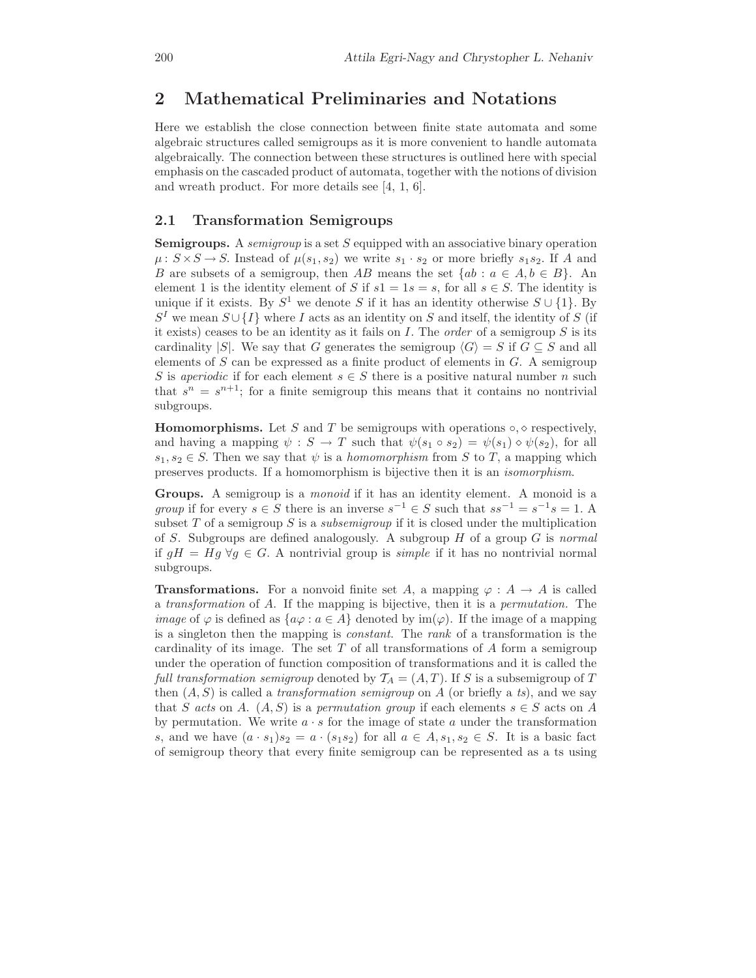#### **2 Mathematical Preliminaries and Notations**

Here we establish the close connection between finite state automata and some algebraic structures called semigroups as it is more convenient to handle automata algebraically. The connection between these structures is outlined here with special emphasis on the cascaded product of automata, together with the notions of division and wreath product. For more details see [4, 1, 6].

#### **2.1 Transformation Semigroups**

**Semigroups.** <sup>A</sup> *semigroup* is a set S equipped with an associative binary operation  $\mu: S \times S \to S$ . Instead of  $\mu(s_1, s_2)$  we write  $s_1 \cdot s_2$  or more briefly  $s_1 s_2$ . If A and B are subsets of a semigroup, then AB means the set  ${ab : a \in A, b \in B}$ . An element 1 is the identity element of S if  $s1 = 1s = s$ , for all  $s \in S$ . The identity is unique if it exists. By  $S^1$  we denote S if it has an identity otherwise  $S \cup \{1\}$ . By  $S<sup>I</sup>$  we mean  $S \cup \{I\}$  where I acts as an identity on S and itself, the identity of S (if it exists) ceases to be an identity as it fails on I. The *order* of a semigroup S is its cardinality |S|. We say that G generates the semigroup  $\langle G \rangle = S$  if  $G \subseteq S$  and all elements of  $S$  can be expressed as a finite product of elements in  $G$ . A semigroup S is *aperiodic* if for each element  $s \in S$  there is a positive natural number n such that  $s^n = s^{n+1}$ ; for a finite semigroup this means that it contains no nontrivial subgroups.

**Homomorphisms.** Let S and T be semigroups with operations  $\circ$ ,  $\circ$  respectively, and having a mapping  $\psi : S \to T$  such that  $\psi(s_1 \circ s_2) = \psi(s_1) \circ \psi(s_2)$ , for all  $s_1, s_2 \in S$ . Then we say that  $\psi$  is a *homomorphism* from S to T, a mapping which preserves products. If a homomorphism is bijective then it is an *isomorphism*.

**Groups.** A semigroup is a *monoid* if it has an identity element. A monoid is a *group* if for every  $s \in S$  there is an inverse  $s^{-1} \in S$  such that  $ss^{-1} = s^{-1}s = 1$ . A subset T of a semigroup S is a *subsemigroup* if it is closed under the multiplication of S. Subgroups are defined analogously. A subgroup H of a group G is *normal* if gH <sup>=</sup> Hg <sup>∀</sup>g <sup>∈</sup> G. A nontrivial group is *simple* if it has no nontrivial normal subgroups.

**Transformations.** For a nonvoid finite set A, a mapping  $\varphi : A \to A$  is called <sup>a</sup> *transformation* of A. If the mapping is bijective, then it is a *permutation.* The *image* of  $\varphi$  is defined as  $\{a\varphi : a \in A\}$  denoted by  $\text{im}(\varphi)$ . If the image of a mapping is a singleton then the mapping is *constant*. The *rank* of a transformation is the cardinality of its image. The set  $T$  of all transformations of  $A$  form a semigroup under the operation of function composition of transformations and it is called the *full transformation semigroup* denoted by  $\mathcal{T}_A = (A, T)$ . If S is a subsemigroup of T then  $(A, S)$  is called a *transformation semigroup* on A (or briefly a *ts*), and we say that S acts on A.  $(A, S)$  is a permutation group if each elements  $s \in S$  acts on A by permutation. We write  $a \cdot s$  for the image of state a under the transformation s, and we have  $(a \cdot s_1)s_2 = a \cdot (s_1s_2)$  for all  $a \in A$ ,  $s_1, s_2 \in S$ . It is a basic fact of semigroup theory that every finite semigroup can be represented as a ts using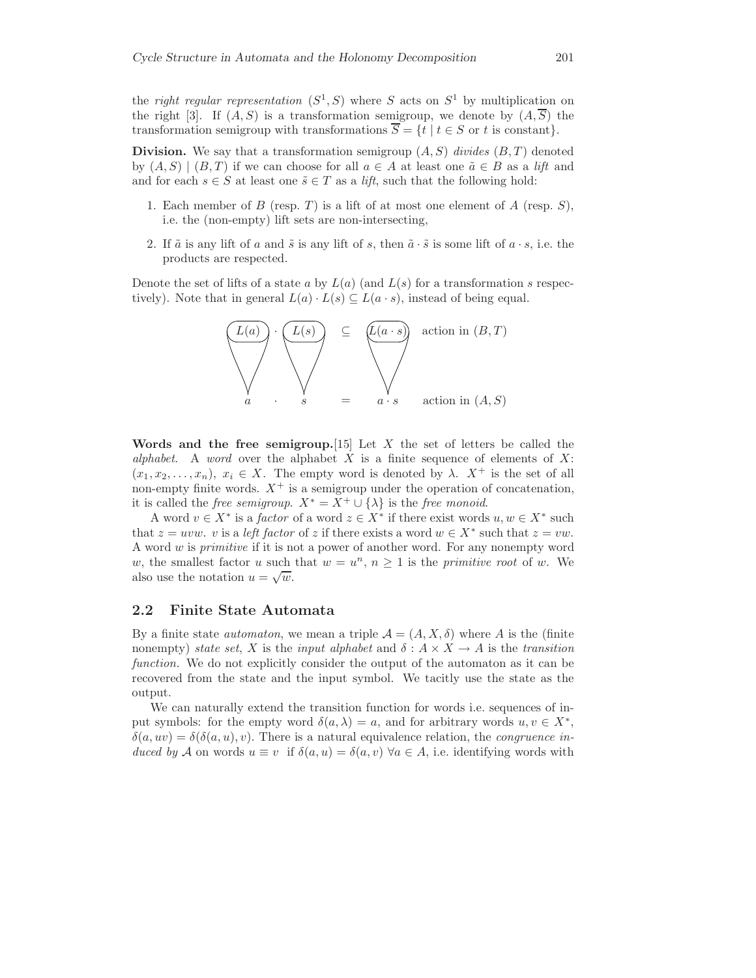the *right regular representation*  $(S^1, S)$  where S acts on  $S^1$  by multiplication on the right [3]. If  $(A, S)$  is a transformation semigroup, we denote by  $(A, \overline{S})$  the transformation semigroup with transformations  $\overline{S} = \{t | t \in S \text{ or } t \text{ is constant}\}.$ 

**Division.** We say that a transformation semigroup  $(A, S)$  *divides*  $(B, T)$  denoted by  $(A, S) | (B, T)$  if we can choose for all  $a \in A$  at least one  $\tilde{a} \in B$  as a *lift* and and for each  $s \in S$  at least one  $\tilde{s} \in T$  as a *lift*, such that the following hold:

- 1. Each member of B (resp. T) is a lift of at most one element of A (resp.  $S$ ), i.e. the (non-empty) lift sets are non-intersecting,
- 2. If  $\tilde{a}$  is any lift of a and  $\tilde{s}$  is any lift of s, then  $\tilde{a} \cdot \tilde{s}$  is some lift of  $a \cdot s$ , i.e. the products are respected.

Denote the set of lifts of a state a by  $L(a)$  (and  $L(s)$  for a transformation s respectively). Note that in general  $L(a) \cdot L(s) \subseteq L(a \cdot s)$ , instead of being equal.



**Words and the free semigroup.**[15] Let X the set of letters be called the *alphabet*. A *word* over the alphabet X is a finite sequence of elements of X:  $(x_1, x_2,...,x_n), x_i \in X$ . The empty word is denoted by  $\lambda$ .  $X^+$  is the set of all non-empty finite words.  $X^+$  is a semigroup under the operation of concatenation, it is called the *free semigroup*.  $X^* = X^+ \cup \{\lambda\}$  is the *free monoid*.

A word  $v \in X^*$  is a *factor* of a word  $z \in X^*$  if there exist words  $u, w \in X^*$  such that  $z = uvw$ . v is a *left factor* of z if there exists a word  $w \in X^*$  such that  $z = vw$ . A word w is *primitive* if it is not a power of another word. For any nonempty word w, the smallest factor u such that  $w = u^n$ ,  $n \ge 1$  is the *primitive root* of w. We also use the notation  $u = \sqrt{w}$ .

#### **2.2 Finite State Automata**

By a finite state *automaton*, we mean a triple  $\mathcal{A} = (A, X, \delta)$  where A is the (finite nonempty) *state set*, X is the *input alphabet* and  $\delta : A \times X \to A$  is the *transition function.* We do not explicitly consider the output of the automaton as it can be recovered from the state and the input symbol. We tacitly use the state as the output.

We can naturally extend the transition function for words i.e. sequences of input symbols: for the empty word  $\delta(a, \lambda) = a$ , and for arbitrary words  $u, v \in X^*$ ,  $\delta(a, uv) = \delta(\delta(a, u), v)$ . There is a natural equivalence relation, the *congruence induced by* A on words  $u \equiv v$  if  $\delta(a, u) = \delta(a, v)$   $\forall a \in A$ , i.e. identifying words with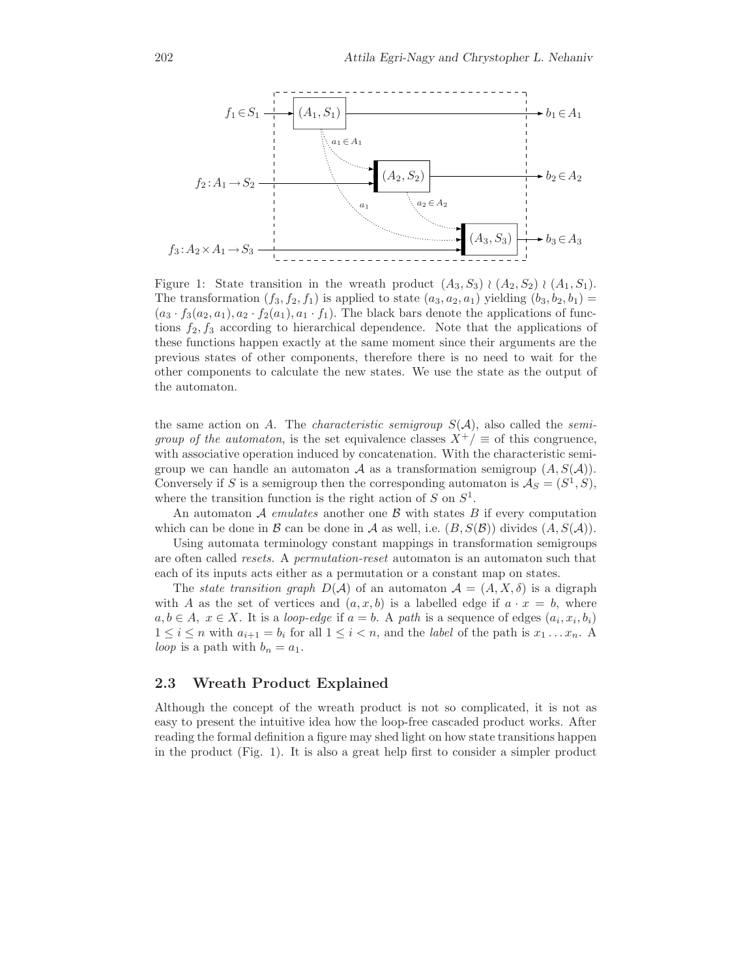

Figure 1: State transition in the wreath product  $(A_3, S_3) \wr (A_2, S_2) \wr (A_1, S_1)$ . The transformation  $(f_3, f_2, f_1)$  is applied to state  $(a_3, a_2, a_1)$  yielding  $(b_3, b_2, b_1)$  $(a_3 \cdot f_3(a_2, a_1), a_2 \cdot f_2(a_1), a_1 \cdot f_1)$ . The black bars denote the applications of functions  $f_2, f_3$  according to hierarchical dependence. Note that the applications of these functions happen exactly at the same moment since their arguments are the previous states of other components, therefore there is no need to wait for the other components to calculate the new states. We use the state as the output of the automaton.

the same action on A. The *characteristic semigroup*  $S(\mathcal{A})$ , also called the *semigroup of the automaton*, is the set equivalence classes  $X^+/\equiv$  of this congruence, with associative operation induced by concatenation. With the characteristic semigroup we can handle an automaton A as a transformation semigroup  $(A, S(\mathcal{A}))$ . Conversely if S is a semigroup then the corresponding automaton is  $\mathcal{A}_S = (S^1, S)$ , where the transition function is the right action of  $S$  on  $S^1$ .

An automaton  $A$  *emulates* another one  $B$  with states  $B$  if every computation which can be done in B can be done in A as well, i.e.  $(B, S(\mathcal{B}))$  divides  $(A, S(\mathcal{A}))$ .

Using automata terminology constant mappings in transformation semigroups are often called *resets.* A *permutation-reset* automaton is an automaton such that each of its inputs acts either as a permutation or a constant map on states.

The *state transition graph*  $D(\mathcal{A})$  of an automaton  $\mathcal{A} = (A, X, \delta)$  is a digraph with A as the set of vertices and  $(a, x, b)$  is a labelled edge if  $a \cdot x = b$ , where  $a, b ∈ A, x ∈ X$ . It is a *loop-edge* if  $a = b$ . A *path* is a sequence of edges  $(a_i, x_i, b_i)$  $1 \leq i \leq n$  with  $a_{i+1} = b_i$  for all  $1 \leq i \leq n$ , and the *label* of the path is  $x_1 \ldots x_n$ . A *loop* is a path with  $b_n = a_1$ .

#### **2.3 Wreath Product Explained**

Although the concept of the wreath product is not so complicated, it is not as easy to present the intuitive idea how the loop-free cascaded product works. After reading the formal definition a figure may shed light on how state transitions happen in the product (Fig. 1). It is also a great help first to consider a simpler product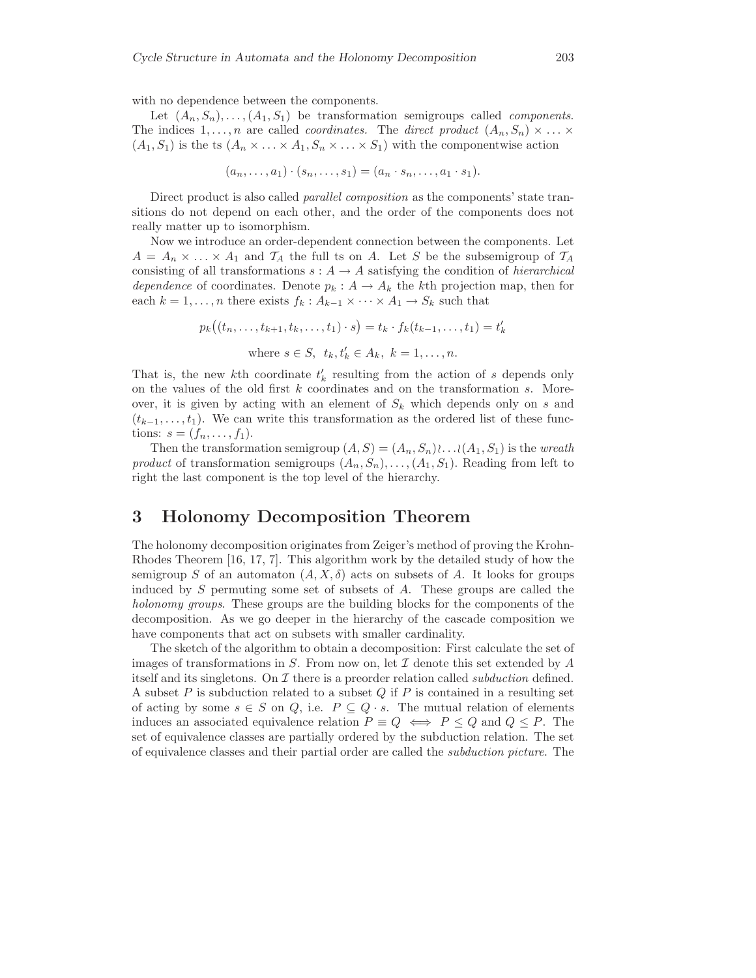with no dependence between the components.

Let  $(A_n, S_n), \ldots, (A_1, S_1)$  be transformation semigroups called *components*. The indices  $1, \ldots, n$  are called *coordinates.* The *direct product*  $(A_n, S_n) \times \ldots \times$  $(A_1, S_1)$  is the ts  $(A_n \times \ldots \times A_1, S_n \times \ldots \times S_1)$  with the componentwise action

$$
(a_n,\ldots,a_1)\cdot(s_n,\ldots,s_1)=(a_n\cdot s_n,\ldots,a_1\cdot s_1).
$$

Direct product is also called *parallel composition* as the components' state transitions do not depend on each other, and the order of the components does not really matter up to isomorphism.

Now we introduce an order-dependent connection between the components. Let  $A = A_n \times \ldots \times A_1$  and  $\mathcal{T}_A$  the full ts on A. Let S be the subsemigroup of  $\mathcal{T}_A$ consisting of all transformations  $s: A \rightarrow A$  satisfying the condition of *hierarchical dependence* of coordinates. Denote  $p_k : A \to A_k$  the kth projection map, then for each  $k = 1, \ldots, n$  there exists  $f_k : A_{k-1} \times \cdots \times A_1 \rightarrow S_k$  such that

$$
p_k((t_n, ..., t_{k+1}, t_k, ..., t_1) \cdot s) = t_k \cdot f_k(t_{k-1}, ..., t_1) = t'_k
$$
  
where  $s \in S$ ,  $t_k, t'_k \in A_k$ ,  $k = 1, ..., n$ .

That is, the new k<sup>th</sup> coordinate  $t'_{k}$  resulting from the action of s depends only on the values of the old first k coordinates and on the transformation  $\varepsilon$ . More on the values of the old first  $k$  coordinates and on the transformation  $s$ . Moreover, it is given by acting with an element of  $S_k$  which depends only on s and  $(t_{k-1},...,t_1)$ . We can write this transformation as the ordered list of these functions:  $s = (f_n, ..., f_1)$ .

Then the transformation semigroup  $(A, S) = (A_n, S_n) \ldots (A_1, S_1)$  is the *wreath product* of transformation semigroups  $(A_n, S_n), \ldots, (A_1, S_1)$ . Reading from left to right the last component is the top level of the hierarchy.

#### **3 Holonomy Decomposition Theorem**

The holonomy decomposition originates from Zeiger's method of proving the Krohn-Rhodes Theorem [16, 17, 7]. This algorithm work by the detailed study of how the semigroup S of an automaton  $(A, X, \delta)$  acts on subsets of A. It looks for groups induced by  $S$  permuting some set of subsets of  $A$ . These groups are called the *holonomy groups*. These groups are the building blocks for the components of the decomposition. As we go deeper in the hierarchy of the cascade composition we have components that act on subsets with smaller cardinality.

The sketch of the algorithm to obtain a decomposition: First calculate the set of images of transformations in S. From now on, let  $\mathcal I$  denote this set extended by  $A$ itself and its singletons. On  $\mathcal I$  there is a preorder relation called *subduction* defined. A subset  $P$  is subduction related to a subset  $Q$  if  $P$  is contained in a resulting set of acting by some  $s \in S$  on Q, i.e.  $P \subseteq Q \cdot s$ . The mutual relation of elements induces an associated equivalence relation  $P \equiv Q \iff P \leq Q$  and  $Q \leq P$ . The set of equivalence classes are partially ordered by the subduction relation. The set of equivalence classes and their partial order are called the *subduction picture*. The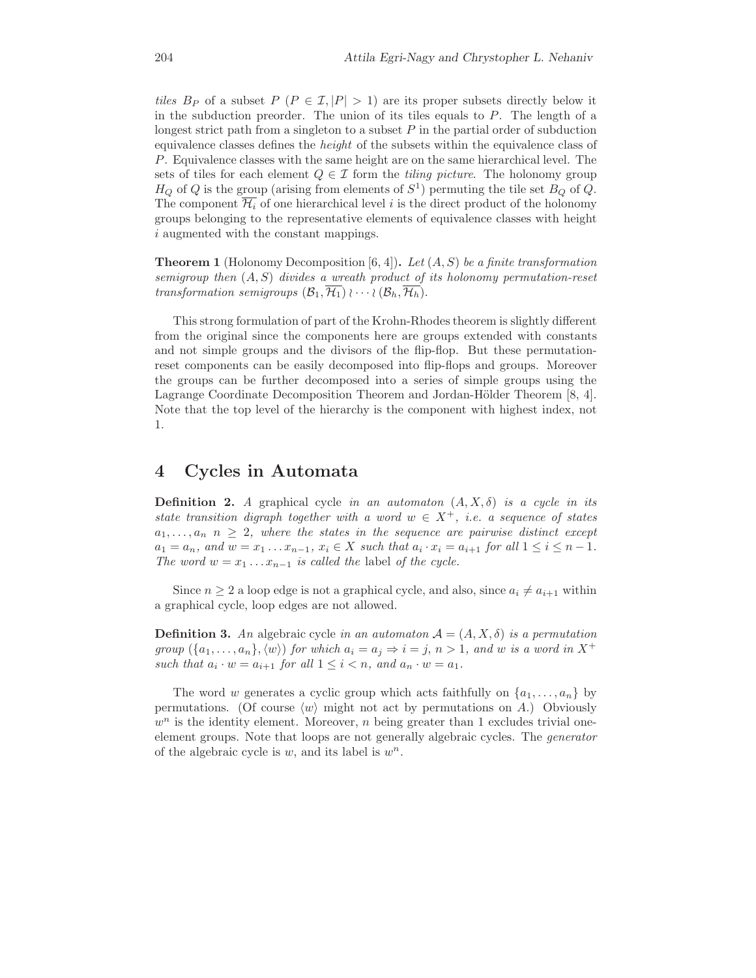*tiles*  $B_P$  of a subset  $P(P \in \mathcal{I}, |P| > 1)$  are its proper subsets directly below it in the subduction preorder. The union of its tiles equals to  $P$ . The length of a longest strict path from a singleton to a subset  $P$  in the partial order of subduction equivalence classes defines the *height* of the subsets within the equivalence class of P. Equivalence classes with the same height are on the same hierarchical level. The sets of tiles for each element  $Q \in \mathcal{I}$  form the *tiling picture*. The holonomy group  $H_Q$  of Q is the group (arising from elements of  $S^1$ ) permuting the tile set  $B_Q$  of Q. The component  $\overline{\mathcal{H}_i}$  of one hierarchical level i is the direct product of the holonomy groups belonging to the representative elements of equivalence classes with height i augmented with the constant mappings.

**Theorem 1** (Holonomy Decomposition [6, 4])**.** *Let* (A, S) *be a finite transformation semigroup then* (A, S) *divides a wreath product of its holonomy permutation-reset transformation semigroups*  $(\mathcal{B}_1, \overline{\mathcal{H}_1}) \wr \cdots \wr (\mathcal{B}_h, \overline{\mathcal{H}_h})$ .

This strong formulation of part of the Krohn-Rhodes theorem is slightly different from the original since the components here are groups extended with constants and not simple groups and the divisors of the flip-flop. But these permutationreset components can be easily decomposed into flip-flops and groups. Moreover the groups can be further decomposed into a series of simple groups using the Lagrange Coordinate Decomposition Theorem and Jordan-Hölder Theorem [8, 4]. Note that the top level of the hierarchy is the component with highest index, not 1.

#### **4 Cycles in Automata**

**Definition 2.** *<sup>A</sup>* graphical cycle *in an automaton* (A, X, δ) *is a cycle in its state transition digraph together with a word*  $w \in X^+$ *, i.e. a sequence of states*  $a_1, \ldots, a_n$   $n \geq 2$ , where the states in the sequence are pairwise distinct except  $a_1 = a_n$ , and  $w = x_1 \ldots x_{n-1}$ ,  $x_i \in X$  such that  $a_i \cdot x_i = a_{i+1}$  for all  $1 \le i \le n-1$ . *The word*  $w = x_1 \ldots x_{n-1}$  *is called the label of the cycle.* 

Since  $n \geq 2$  a loop edge is not a graphical cycle, and also, since  $a_i \neq a_{i+1}$  within a graphical cycle, loop edges are not allowed.

**Definition 3.** An algebraic cycle *in an automaton*  $A = (A, X, \delta)$  *is a permutation group*  $(\{a_1, \ldots, a_n\}, \langle w \rangle)$  *for which*  $a_i = a_j \Rightarrow i = j, n > 1$ *, and w is a word in* X<sup>+</sup> *such that*  $a_i \cdot w = a_{i+1}$  *for all*  $1 \leq i \leq n$ *, and*  $a_n \cdot w = a_1$ *.* 

The word w generates a cyclic group which acts faithfully on  $\{a_1, \ldots, a_n\}$  by permutations. (Of course  $\langle w \rangle$  might not act by permutations on A.) Obviously  $w<sup>n</sup>$  is the identity element. Moreover, *n* being greater than 1 excludes trivial oneelement groups. Note that loops are not generally algebraic cycles. The *generator* of the algebraic cycle is  $w$ , and its label is  $w<sup>n</sup>$ .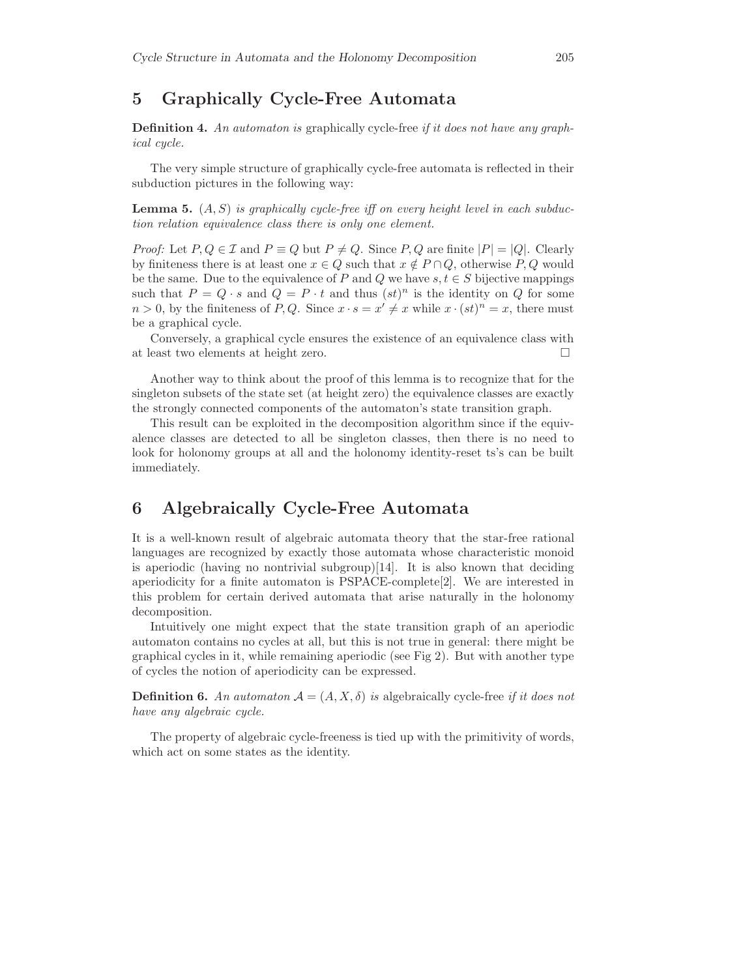### **5 Graphically Cycle-Free Automata**

**Definition 4.** *An automaton is* graphically cycle-free *if it does not have any graphical cycle.*

The very simple structure of graphically cycle-free automata is reflected in their subduction pictures in the following way:

**Lemma 5.** (A, S) *is graphically cycle-free iff on every height level in each subduction relation equivalence class there is only one element.*

*Proof:* Let  $P, Q \in \mathcal{I}$  and  $P \equiv Q$  but  $P \neq Q$ . Since  $P, Q$  are finite  $|P| = |Q|$ . Clearly by finiteness there is at least one  $x \in Q$  such that  $x \notin P \cap Q$ , otherwise  $P, Q$  would be the same. Due to the equivalence of P and Q we have  $s, t \in S$  bijective mappings such that  $P = Q \cdot s$  and  $Q = P \cdot t$  and thus  $(st)^n$  is the identity on Q for some  $n > 0$ , by the finiteness of P, Q. Since  $x \cdot s = x' \neq x$  while  $x \cdot (st)^n = x$ , there must be a graphical cycle.

Conversely, a graphical cycle ensures the existence of an equivalence class with at least two elements at height zero.  $\hfill \square$ 

Another way to think about the proof of this lemma is to recognize that for the singleton subsets of the state set (at height zero) the equivalence classes are exactly the strongly connected components of the automaton's state transition graph.

This result can be exploited in the decomposition algorithm since if the equivalence classes are detected to all be singleton classes, then there is no need to look for holonomy groups at all and the holonomy identity-reset ts's can be built immediately.

# **6 Algebraically Cycle-Free Automata**

It is a well-known result of algebraic automata theory that the star-free rational languages are recognized by exactly those automata whose characteristic monoid is aperiodic (having no nontrivial subgroup) $[14]$ . It is also known that deciding aperiodicity for a finite automaton is PSPACE-complete[2]. We are interested in this problem for certain derived automata that arise naturally in the holonomy decomposition.

Intuitively one might expect that the state transition graph of an aperiodic automaton contains no cycles at all, but this is not true in general: there might be graphical cycles in it, while remaining aperiodic (see Fig 2). But with another type of cycles the notion of aperiodicity can be expressed.

**Definition 6.** An automaton  $A = (A, X, \delta)$  is algebraically cycle-free *if it does not have any algebraic cycle.*

The property of algebraic cycle-freeness is tied up with the primitivity of words, which act on some states as the identity.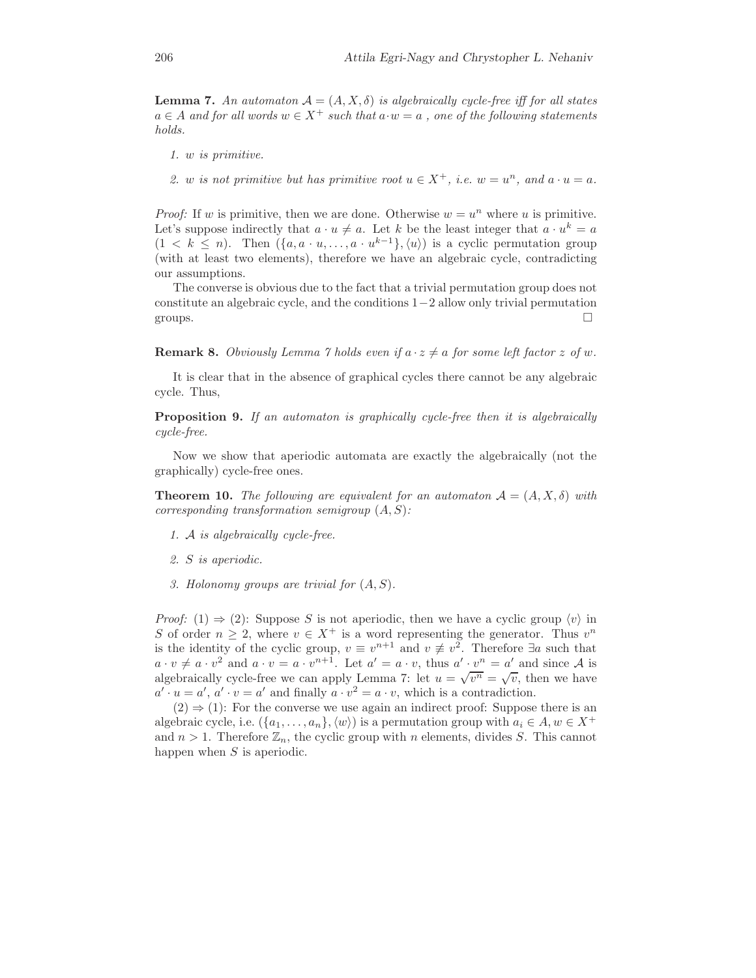**Lemma 7.** An automaton  $A = (A, X, \delta)$  is algebraically cycle-free iff for all states  $a \in A$  and for all words  $w \in X^+$  such that  $a \cdot w = a$ , one of the following statements *holds.*

- *1.* w *is primitive.*
- 2. w is not primitive but has primitive root  $u \in X^+$ , i.e.  $w = u^n$ , and  $a \cdot u = a$ .

*Proof:* If w is primitive, then we are done. Otherwise  $w = u^n$  where u is primitive. Let's suppose indirectly that  $a \cdot u \neq a$ . Let k be the least integer that  $a \cdot u^k = a$  $(1 \lt k \leq n)$ . Then  $({a, a \cdot u, \ldots, a \cdot u^{k-1}}, \langle u \rangle)$  is a cyclic permutation group (with at least two elements), therefore we have an algebraic cycle, contradicting our assumptions.

The converse is obvious due to the fact that a trivial permutation group does not constitute an algebraic cycle, and the conditions 1−2 allow only trivial permutation groups.  $\Box$ 

**Remark 8.** *Obviously Lemma 7 holds even if*  $a \cdot z \neq a$  *for some left factor* z *of* w.

It is clear that in the absence of graphical cycles there cannot be any algebraic cycle. Thus,

**Proposition 9.** *If an automaton is graphically cycle-free then it is algebraically cycle-free.*

Now we show that aperiodic automata are exactly the algebraically (not the graphically) cycle-free ones.

**Theorem 10.** *The following are equivalent for an automaton*  $A = (A, X, \delta)$  *with corresponding transformation semigroup* (A, S)*:*

- *1.* A *is algebraically cycle-free.*
- *2.* S *is aperiodic.*
- *3. Holonomy groups are trivial for* (A, S)*.*

*Proof:* (1)  $\Rightarrow$  (2): Suppose S is not aperiodic, then we have a cyclic group  $\langle v \rangle$  in S of order  $n \geq 2$ , where  $v \in X^+$  is a word representing the generator. Thus  $v^n$ is the identity of the cyclic group,  $v \equiv v^{n+1}$  and  $v \not\equiv v^2$ . Therefore  $\exists a$  such that  $a \cdot v \neq a \cdot v^2$  and  $a \cdot v = a \cdot v^{n+1}$ . Let  $a' = a \cdot v$ , thus  $a' \cdot v^n = a'$  and since A is algebraically cycle-free we can apply Lemma 7: let  $u = \sqrt{v^n} = \sqrt{v}$ , then we have  $a' \cdot u = a', a' \cdot v = a'$  and finally  $a \cdot v^2 = a \cdot v$ , which is a contradiction.<br>(2)  $\rightarrow$  (1). For the converse we use again an indirect proof: Suppose

 $(2) \Rightarrow (1)$ : For the converse we use again an indirect proof: Suppose there is an algebraic cycle, i.e.  $({a_1, \ldots, a_n}, \langle w \rangle)$  is a permutation group with  $a_i \in A, w \in X^+$ and  $n > 1$ . Therefore  $\mathbb{Z}_n$ , the cyclic group with n elements, divides S. This cannot happen when  $S$  is aperiodic.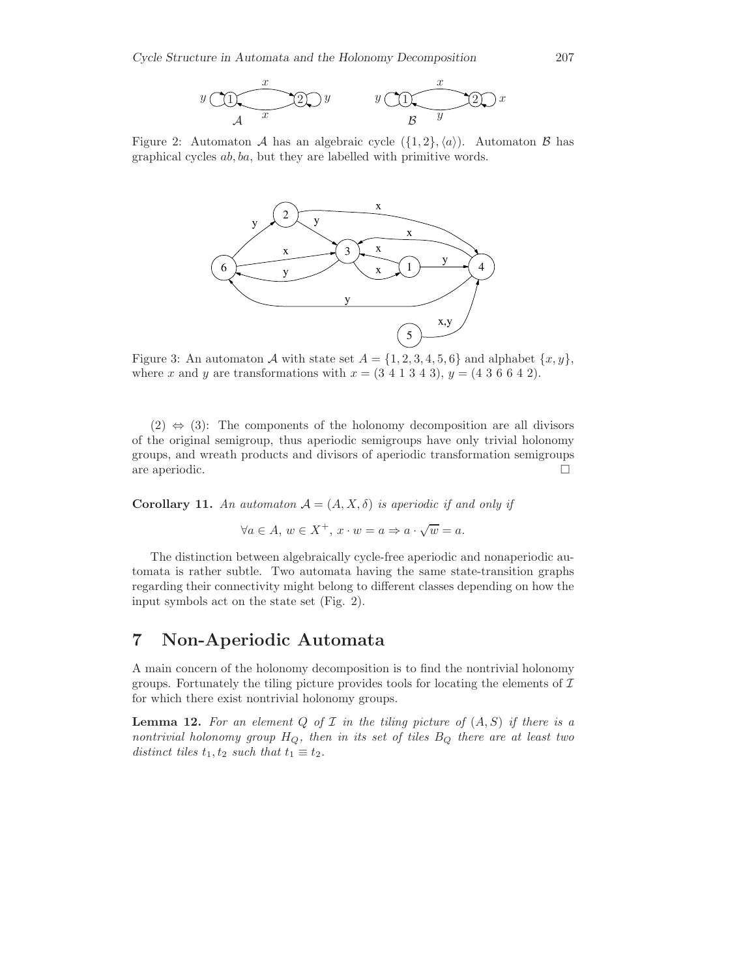

Figure 2: Automaton A has an algebraic cycle  $({1, 2}, \langle a \rangle)$ . Automaton B has graphical cycles ab, ba, but they are labelled with primitive words.



Figure 3: An automaton A with state set  $A = \{1, 2, 3, 4, 5, 6\}$  and alphabet  $\{x, y\}$ , where x and y are transformations with  $x = (3\ 4\ 1\ 3\ 4\ 3), y = (4\ 3\ 6\ 6\ 4\ 2).$ 

 $(2) \Leftrightarrow (3)$ : The components of the holonomy decomposition are all divisors of the original semigroup, thus aperiodic semigroups have only trivial holonomy groups, and wreath products and divisors of aperiodic transformation semigroups are aperiodic.  $\Box$ 

**Corollary 11.** An automaton  $A = (A, X, \delta)$  is aperiodic if and only if

$$
\forall a \in A, w \in X^+, x \cdot w = a \Rightarrow a \cdot \sqrt{w} = a.
$$

The distinction between algebraically cycle-free aperiodic and nonaperiodic automata is rather subtle. Two automata having the same state-transition graphs regarding their connectivity might belong to different classes depending on how the input symbols act on the state set (Fig. 2).

# **7 Non-Aperiodic Automata**

A main concern of the holonomy decomposition is to find the nontrivial holonomy groups. Fortunately the tiling picture provides tools for locating the elements of  $\mathcal I$ for which there exist nontrivial holonomy groups.

**Lemma 12.** For an element  $Q$  of  $I$  in the tiling picture of  $(A, S)$  if there is a *nontrivial holonomy group* <sup>H</sup>*<sup>Q</sup>, then in its set of tiles* <sup>B</sup>*<sup>Q</sup> there are at least two distinct tiles*  $t_1, t_2$  *such that*  $t_1 \equiv t_2$ *.*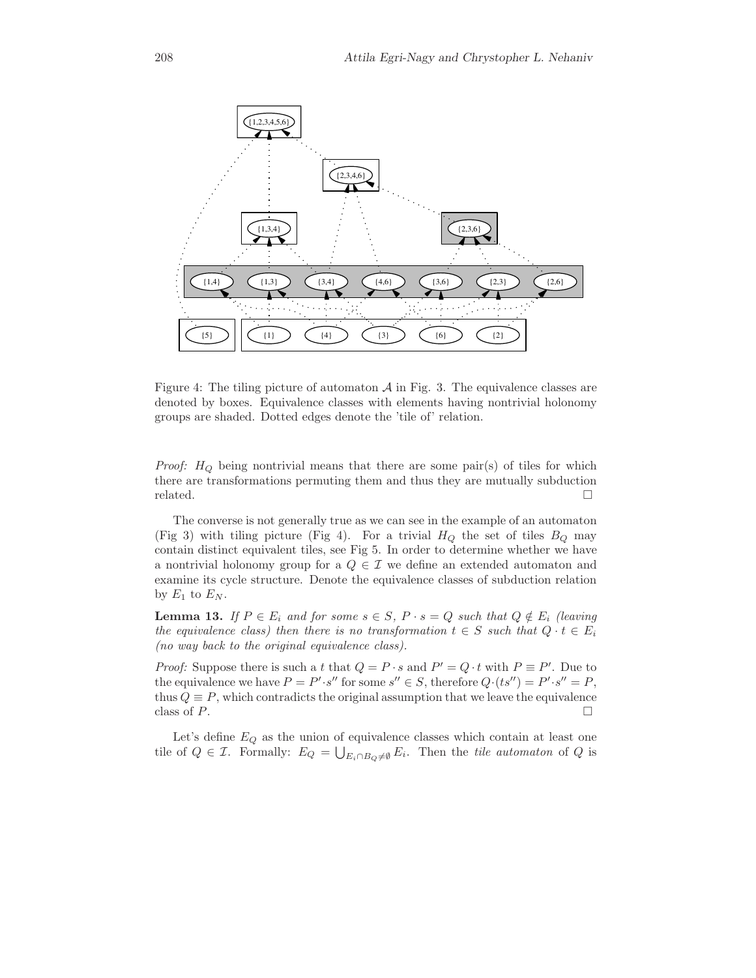

Figure 4: The tiling picture of automaton  $A$  in Fig. 3. The equivalence classes are denoted by boxes. Equivalence classes with elements having nontrivial holonomy groups are shaded. Dotted edges denote the 'tile of' relation.

*Proof:*  $H_Q$  being nontrivial means that there are some pair(s) of tiles for which there are transformations permuting them and thus they are mutually subduction related.  $\Box$ 

The converse is not generally true as we can see in the example of an automaton (Fig 3) with tiling picture (Fig 4). For a trivial  $H_Q$  the set of tiles  $B_Q$  may contain distinct equivalent tiles, see Fig 5. In order to determine whether we have a nontrivial holonomy group for a  $Q \in \mathcal{I}$  we define an extended automaton and examine its cycle structure. Denote the equivalence classes of subduction relation by  $E_1$  to  $E_N$ .

**Lemma 13.** *If*  $P \in E_i$  *and for some*  $s \in S$ ,  $P \cdot s = Q$  *such that*  $Q \notin E_i$  *(leaving*) *the equivalence class) then there is no transformation*  $t \in S$  *such that*  $Q \cdot t \in E_i$ *(no way back to the original equivalence class).*

*Proof:* Suppose there is such a t that  $Q = P \cdot s$  and  $P' = Q \cdot t$  with  $P \equiv P'$ . Due to the equivalence we have  $P = P' \cdot s''$  for some  $s'' \in S$ , therefore  $Q \cdot (ts'') = P' \cdot s'' = P$ the equivalence we have  $P = P' \cdot s''$  for some  $s'' \in S$ , therefore  $Q \cdot (ts'') = P' \cdot s'' = P$ , thus  $Q = P$ , which contradicts the original assumption that we leave the equivalence thus  $Q \equiv P$ , which contradicts the original assumption that we leave the equivalence class of P. class of  $P$ .

Let's define <sup>E</sup>*<sup>Q</sup>* as the union of equivalence classes which contain at least one tile of  $Q \in \mathcal{I}$ . Formally:  $E_Q = \bigcup_{E_i \cap B_Q \neq \emptyset} E_i$ . Then the *tile automaton* of  $Q$  is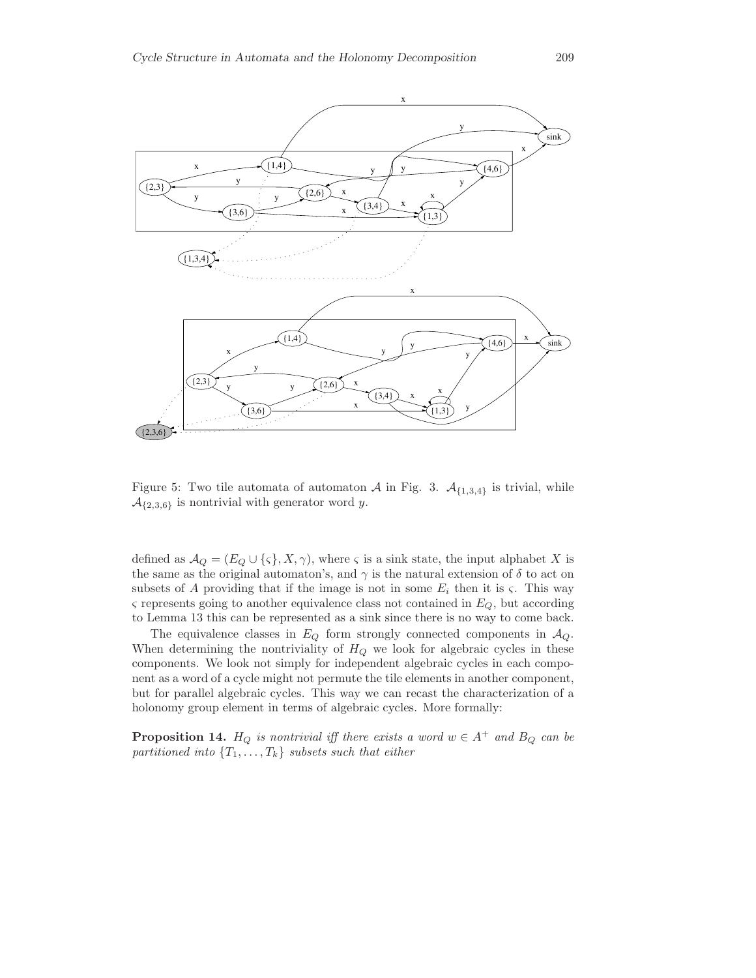

Figure 5: Two tile automata of automaton  $\mathcal A$  in Fig. 3.  $\mathcal A_{\{1,3,4\}}$  is trivial, while  $\mathcal{A}_{\{2,3,6\}}$  is nontrivial with generator word y.

defined as  $A_Q = (E_Q \cup \{\varsigma\}, X, \gamma)$ , where  $\varsigma$  is a sink state, the input alphabet X is the same as the original automaton's, and  $\gamma$  is the natural extension of  $\delta$  to act on subsets of A providing that if the image is not in some  $E_i$  then it is  $\varsigma$ . This way <sup>ς</sup> represents going to another equivalence class not contained in <sup>E</sup>*<sup>Q</sup>*, but according to Lemma 13 this can be represented as a sink since there is no way to come back.

The equivalence classes in  $E_Q$  form strongly connected components in  $A_Q$ . When determining the nontriviality of  $H_Q$  we look for algebraic cycles in these components. We look not simply for independent algebraic cycles in each component as a word of a cycle might not permute the tile elements in another component, but for parallel algebraic cycles. This way we can recast the characterization of a holonomy group element in terms of algebraic cycles. More formally:

**Proposition 14.**  $H_Q$  *is nontrivial iff there exists a word*  $w \in A^+$  *and*  $B_Q$  *can be partitioned into*  $\{T_1, \ldots, T_k\}$  *subsets such that either*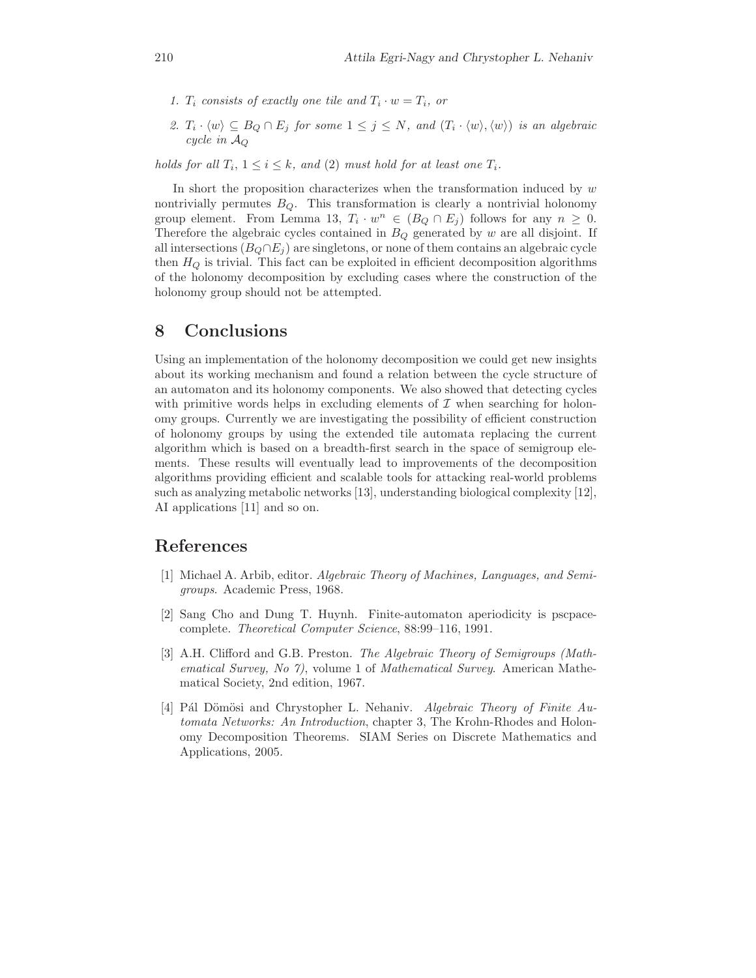- *1.*  $T_i$  consists of exactly one tile and  $T_i \cdot w = T_i$ , or
- 2.  $T_i \cdot \langle w \rangle \subseteq B_Q \cap E_j$  *for some*  $1 \leq j \leq N$ *, and*  $(T_i \cdot \langle w \rangle, \langle w \rangle)$  *is an algebraic cycle in* A*<sup>Q</sup>*

*holds for all*  $T_i$ ,  $1 \leq i \leq k$ *, and* (2) *must hold for at least one*  $T_i$ *.* 

In short the proposition characterizes when the transformation induced by  $w$ nontrivially permutes B*Q*. This transformation is clearly a nontrivial holonomy group element. From Lemma 13,  $T_i \cdot w^n \in (B_Q \cap E_j)$  follows for any  $n \geq 0$ . Therefore the algebraic cycles contained in <sup>B</sup>*<sup>Q</sup>* generated by <sup>w</sup> are all disjoint. If all intersections  $(B_Q \cap E_j)$  are singletons, or none of them contains an algebraic cycle then  $H_Q$  is trivial. This fact can be exploited in efficient decomposition algorithms of the holonomy decomposition by excluding cases where the construction of the holonomy group should not be attempted.

### **8 Conclusions**

Using an implementation of the holonomy decomposition we could get new insights about its working mechanism and found a relation between the cycle structure of an automaton and its holonomy components. We also showed that detecting cycles with primitive words helps in excluding elements of  $\mathcal I$  when searching for holonomy groups. Currently we are investigating the possibility of efficient construction of holonomy groups by using the extended tile automata replacing the current algorithm which is based on a breadth-first search in the space of semigroup elements. These results will eventually lead to improvements of the decomposition algorithms providing efficient and scalable tools for attacking real-world problems such as analyzing metabolic networks [13], understanding biological complexity [12], AI applications [11] and so on.

#### **References**

- [1] Michael A. Arbib, editor. *Algebraic Theory of Machines, Languages, and Semigroups*. Academic Press, 1968.
- [2] Sang Cho and Dung T. Huynh. Finite-automaton aperiodicity is pscpacecomplete. *Theoretical Computer Science*, 88:99–116, 1991.
- [3] A.H. Clifford and G.B. Preston. *The Algebraic Theory of Semigroups (Mathematical Survey, No 7)*, volume 1 of *Mathematical Survey*. American Mathematical Society, 2nd edition, 1967.
- [4] Pál Dömösi and Chrystopher L. Nehaniv. *Algebraic Theory of Finite Automata Networks: An Introduction*, chapter 3, The Krohn-Rhodes and Holonomy Decomposition Theorems. SIAM Series on Discrete Mathematics and Applications, 2005.